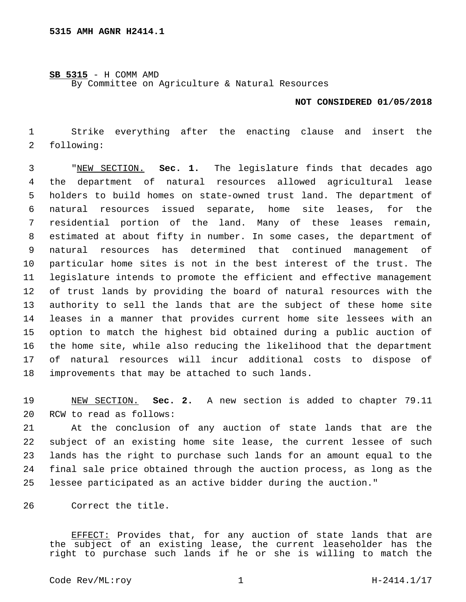## **SB 5315** - H COMM AMD

By Committee on Agriculture & Natural Resources

## **NOT CONSIDERED 01/05/2018**

 Strike everything after the enacting clause and insert the 2 following:

 "NEW SECTION. **Sec. 1.** The legislature finds that decades ago the department of natural resources allowed agricultural lease holders to build homes on state-owned trust land. The department of natural resources issued separate, home site leases, for the residential portion of the land. Many of these leases remain, estimated at about fifty in number. In some cases, the department of natural resources has determined that continued management of particular home sites is not in the best interest of the trust. The legislature intends to promote the efficient and effective management of trust lands by providing the board of natural resources with the authority to sell the lands that are the subject of these home site leases in a manner that provides current home site lessees with an option to match the highest bid obtained during a public auction of the home site, while also reducing the likelihood that the department of natural resources will incur additional costs to dispose of improvements that may be attached to such lands.

 NEW SECTION. **Sec. 2.** A new section is added to chapter 79.11 20 RCW to read as follows:

 At the conclusion of any auction of state lands that are the subject of an existing home site lease, the current lessee of such lands has the right to purchase such lands for an amount equal to the final sale price obtained through the auction process, as long as the lessee participated as an active bidder during the auction."

26 Correct the title.

EFFECT: Provides that, for any auction of state lands that are the subject of an existing lease, the current leaseholder has the right to purchase such lands if he or she is willing to match the